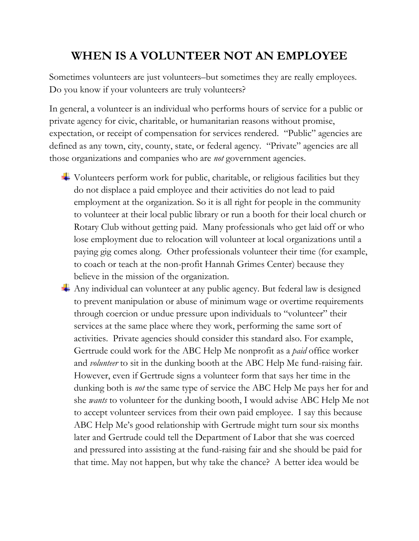## **WHEN IS A VOLUNTEER NOT AN EMPLOYEE**

Sometimes volunteers are just volunteers–but sometimes they are really employees. Do you know if your volunteers are truly volunteers?

In general, a volunteer is an individual who performs hours of service for a public or private agency for civic, charitable, or humanitarian reasons without promise, expectation, or receipt of compensation for services rendered. "Public" agencies are defined as any town, city, county, state, or federal agency. "Private" agencies are all those organizations and companies who are *not* government agencies.

- $\overline{\phantom{a}}$  Volunteers perform work for public, charitable, or religious facilities but they do not displace a paid employee and their activities do not lead to paid employment at the organization. So it is all right for people in the community to volunteer at their local public library or run a booth for their local church or Rotary Club without getting paid. Many professionals who get laid off or who lose employment due to relocation will volunteer at local organizations until a paying gig comes along. Other professionals volunteer their time (for example, to coach or teach at the non-profit Hannah Grimes Center) because they believe in the mission of the organization.
- Any individual can volunteer at any public agency. But federal law is designed to prevent manipulation or abuse of minimum wage or overtime requirements through coercion or undue pressure upon individuals to "volunteer" their services at the same place where they work, performing the same sort of activities. Private agencies should consider this standard also. For example, Gertrude could work for the ABC Help Me nonprofit as a *paid* office worker and *volunteer* to sit in the dunking booth at the ABC Help Me fund-raising fair. However, even if Gertrude signs a volunteer form that says her time in the dunking both is *not* the same type of service the ABC Help Me pays her for and she *wants* to volunteer for the dunking booth, I would advise ABC Help Me not to accept volunteer services from their own paid employee. I say this because ABC Help Me's good relationship with Gertrude might turn sour six months later and Gertrude could tell the Department of Labor that she was coerced and pressured into assisting at the fund-raising fair and she should be paid for that time. May not happen, but why take the chance? A better idea would be